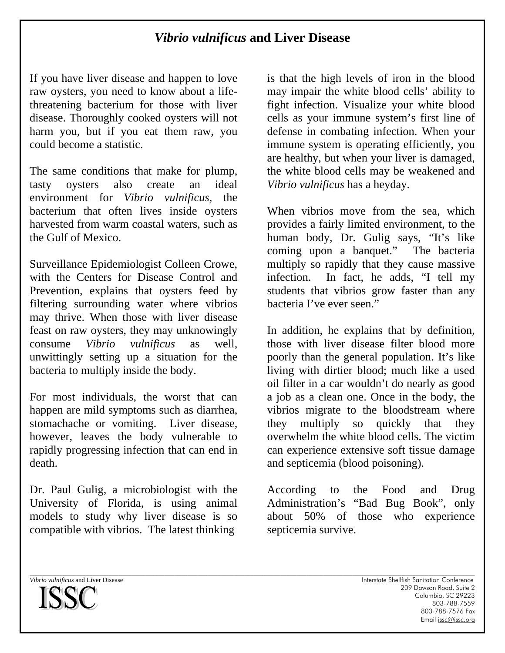## *Vibrio vulnificus* **and Liver Disease**

If you have liver disease and happen to love raw oysters, you need to know about a lifethreatening bacterium for those with liver disease. Thoroughly cooked oysters will not harm you, but if you eat them raw, you could become a statistic.

The same conditions that make for plump, tasty oysters also create an ideal environment for *Vibrio vulnificus*, the bacterium that often lives inside oysters harvested from warm coastal waters, such as the Gulf of Mexico.

Surveillance Epidemiologist Colleen Crowe, with the Centers for Disease Control and Prevention, explains that oysters feed by filtering surrounding water where vibrios may thrive. When those with liver disease feast on raw oysters, they may unknowingly consume *Vibrio vulnificus* as well, unwittingly setting up a situation for the bacteria to multiply inside the body.

For most individuals, the worst that can happen are mild symptoms such as diarrhea, stomachache or vomiting. Liver disease, however, leaves the body vulnerable to rapidly progressing infection that can end in death.

Dr. Paul Gulig, a microbiologist with the University of Florida, is using animal models to study why liver disease is so compatible with vibrios. The latest thinking

is that the high levels of iron in the blood may impair the white blood cells' ability to fight infection. Visualize your white blood cells as your immune system's first line of defense in combating infection. When your immune system is operating efficiently, you are healthy, but when your liver is damaged, the white blood cells may be weakened and *Vibrio vulnificus* has a heyday.

When vibrios move from the sea, which provides a fairly limited environment, to the human body, Dr. Gulig says, "It's like coming upon a banquet." The bacteria multiply so rapidly that they cause massive infection. In fact, he adds, "I tell my students that vibrios grow faster than any bacteria I've ever seen."

In addition, he explains that by definition, those with liver disease filter blood more poorly than the general population. It's like living with dirtier blood; much like a used oil filter in a car wouldn't do nearly as good a job as a clean one. Once in the body, the vibrios migrate to the bloodstream where they multiply so quickly that they overwhelm the white blood cells. The victim can experience extensive soft tissue damage and septicemia (blood poisoning).

According to the Food and Drug Administration's "Bad Bug Book", only about 50% of those who experience septicemia survive.